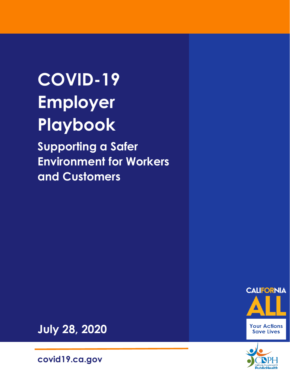# **COVID-19 Employer Playbook**

**Supporting a Safer Environment for Workers and Customers** 





**July 28, 2020**

**covid19.ca.gov**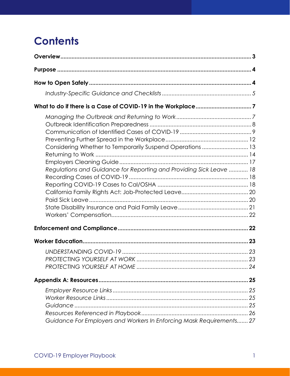# **Contents**

| Considering Whether to Temporarily Suspend Operations  13            |  |
|----------------------------------------------------------------------|--|
| Regulations and Guidance for Reporting and Providing Sick Leave  18  |  |
|                                                                      |  |
|                                                                      |  |
|                                                                      |  |
|                                                                      |  |
|                                                                      |  |
|                                                                      |  |
|                                                                      |  |
|                                                                      |  |
| Guidance For Employers and Workers In Enforcing Mask Requirements 27 |  |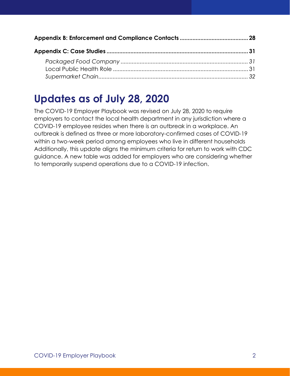### **Updates as of July 28, 2020**

The COVID-19 Employer Playbook was revised on July 28, 2020 to require employers to contact the local health department in any jurisdiction where a COVID-19 employee resides when there is an outbreak in a workplace. An outbreak is defined as three or more laboratory-confirmed cases of COVID-19 within a two-week period among employees who live in different households Additionally, this update aligns the minimum criteria for return to work with CDC guidance. A new table was added for employers who are considering whether to temporarily suspend operations due to a COVID-19 infection.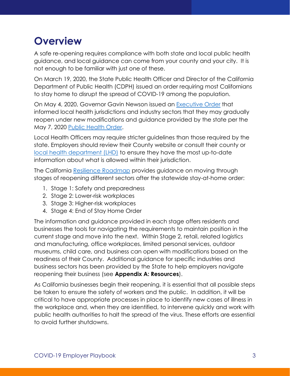# **Overview**

A safe re-opening requires compliance with both state and local public health guidance, and local guidance can come from your county and your city. It is not enough to be familiar with just one of these.

On March 19, 2020, the State Public Health Officer and Director of the California Department of Public Health (CDPH) issued an order requiring most Californians to stay home to disrupt the spread of COVID-19 among the population.

On May 4, 2020, Governor Gavin Newson issued an Executive Order that informed local health jurisdictions and industry sectors that they may gradually reopen under new modifications and guidance provided by the state per the May 7, 2020 Public Health Order.

Local Health Officers may require stricter guidelines than those required by the state. Employers should review their County website or consult their county or local health department (LHD) to ensure they have the most up-to-date information about what is allowed within their jurisdiction.

The California Resilience Roadmap provides guidance on moving through stages of reopening different sectors after the statewide stay-at-home order:

- 1. Stage 1: Safety and preparedness
- 2. Stage 2: Lower-risk workplaces
- 3. Stage 3: Higher-risk workplaces
- 4. Stage 4: End of Stay Home Order

The information and guidance provided in each stage offers residents and businesses the tools for navigating the requirements to maintain position in the current stage and move into the next. Within Stage 2, retail, related logistics and manufacturing, office workplaces, limited personal services, outdoor museums, child care, and business can open with modifications based on the readiness of their County. Additional guidance for specific industries and business sectors has been provided by the State to help employers navigate reopening their business (see **Appendix A: Resources**).

As California businesses begin their reopening, it is essential that all possible steps be taken to ensure the safety of workers and the public. In addition, it will be critical to have appropriate processes in place to identify new cases of illness in the workplace and, when they are identified, to intervene quickly and work with public health authorities to halt the spread of the virus. These efforts are essential to avoid further shutdowns.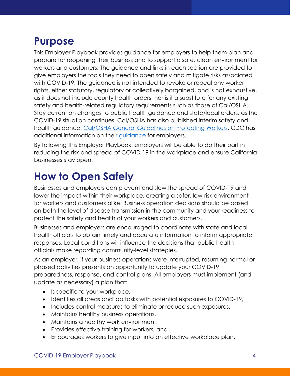# **Purpose**

This Employer Playbook provides guidance for employers to help them plan and prepare for reopening their business and to support a safe, clean environment for workers and customers. The guidance and links in each section are provided to give employers the tools they need to open safely and mitigate risks associated with COVID-19. The guidance is not intended to revoke or repeal any worker rights, either statutory, regulatory or collectively bargained, and is not exhaustive, as it does not include county health orders, nor is it a substitute for any existing safety and health-related regulatory requirements such as those of Cal/OSHA. Stay current on changes to public health guidance and state/local orders, as the COVID-19 situation continues. Cal/OSHA has also published interim safety and health guidance, Cal/OSHA General Guidelines on Protecting Workers. CDC has additional information on their guidance for employers.

By following this Employer Playbook, employers will be able to do their part in reducing the risk and spread of COVID-19 in the workplace and ensure California businesses stay open.

# **How to Open Safely**

Businesses and employers can prevent and slow the spread of COVID-19 and lower the impact within their workplace, creating a safer, low-risk environment for workers and customers alike. Business operation decisions should be based on both the level of disease transmission in the community and your readiness to protect the safety and health of your workers and customers.

Businesses and employers are encouraged to coordinate with state and local health officials to obtain timely and accurate information to inform appropriate responses. Local conditions will influence the decisions that public health officials make regarding community-level strategies.

As an employer, if your business operations were interrupted, resuming normal or phased activities presents an opportunity to update your COVID-19 preparedness, response, and control plans. All employers must implement (and update as necessary) a plan that:

- Is specific to your workplace,
- Identifies all areas and job tasks with potential exposures to COVID-19,
- Includes control measures to eliminate or reduce such exposures,
- Maintains healthy business operations,
- Maintains a healthy work environment,
- Provides effective training for workers, and
- Encourages workers to give input into an effective workplace plan.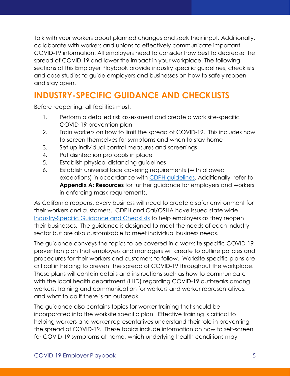Talk with your workers about planned changes and seek their input. Additionally, collaborate with workers and unions to effectively communicate important COVID-19 information. All employers need to consider how best to decrease the spread of COVID-19 and lower the impact in your workplace. The following sections of this Employer Playbook provide industry specific guidelines, checklists and case studies to guide employers and businesses on how to safely reopen and stay open.

### **INDUSTRY-SPECIFIC GUIDANCE AND CHECKLISTS**

Before reopening, all facilities must:

- 1. Perform a detailed risk assessment and create a work site-specific COVID-19 prevention plan
- 2. Train workers on how to limit the spread of COVID-19. This includes how to screen themselves for symptoms and when to stay home
- 3. Set up individual control measures and screenings
- 4. Put disinfection protocols in place
- 5. Establish physical distancing guidelines
- 6. Establish universal face covering requirements (with allowed exceptions) in accordance with CDPH guidelines. Additionally, refer to **Appendix A: Resources** for further guidance for employers and workers in enforcing mask requirements.

As California reopens, every business will need to create a safer environment for their workers and customers. CDPH and Cal/OSHA have issued state wide Industry-Specific Guidance and Checklists to help employers as they reopen their businesses. The guidance is designed to meet the needs of each industry sector but are also customizable to meet individual business needs.

The guidance conveys the topics to be covered in a worksite specific COVID-19 prevention plan that employers and managers will create to outline policies and procedures for their workers and customers to follow. Worksite-specific plans are critical in helping to prevent the spread of COVID-19 throughout the workplace. These plans will contain details and instructions such as how to communicate with the local health department (LHD) regarding COVID-19 outbreaks among workers, training and communication for workers and worker representatives, and what to do if there is an outbreak.

The guidance also contains topics for worker training that should be incorporated into the worksite specific plan. Effective training is critical to helping workers and worker representatives understand their role in preventing the spread of COVID-19. These topics include information on how to self-screen for COVID-19 symptoms at home, which underlying health conditions may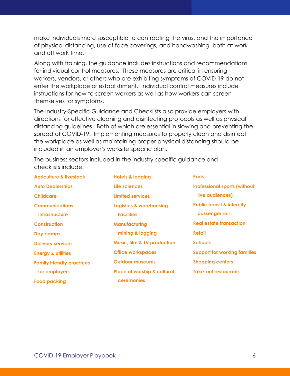make individuals more susceptible to contracting the virus, and the importance of physical distancing, use of face coverings, and handwashing, both at work and off work time.

Along with training, the guidance includes instructions and recommendations for individual control measures. These measures are critical in ensuring workers, vendors, or others who are exhibiting symptoms of COVID-19 do not enter the workplace or establishment. Individual control measures include instructions for how to screen workers as well as how workers can screen themselves for symptoms.

The Industry-Specific Guidance and Checklists also provide employers with directions for effective cleaning and disinfecting protocols as well as physical distancing guidelines. Both of which are essential in slowing and preventing the spread of COVID-19. Implementing measures to properly clean and disinfect the workplace as well as maintaining proper physical distancing should be included in an employer's worksite specific plan.

The business sectors included in the industry-specific guidance and checklists include:

**Agriculture & livestock Auto Dealerships Childcare Communications infrastructure Construction Day camps Delivery services Energy & utilities Family friendly practices for employers Food packing** 

**Hotels & lodging Life sciences Limited services Logistics & warehousing Facilities Manufacturing mining & logging Music, film & TV production Office workspaces Outdoor museums Place of worship & cultural ceremonies** 

**Ports Professional sports (without live audiences) Public transit & intercity passenger rail Real estate transaction Retail Schools Support for working families Shopping centers Take-out restaurants**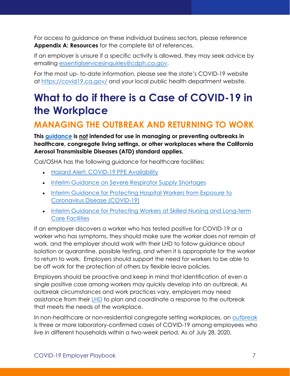For access to guidance on these individual business sectors, please reference **Appendix A: Resources** for the complete list of references.

If an employer is unsure if a specific activity is allowed, they may seek advice by emailing essentialservicesinquiries@cdph.ca.gov.

For the most up- to-date information, please see the state's COVID-19 website at https://covid19.ca.gov/ and your local public health department website.

# **What to do if there is a Case of COVID-19 in the Workplace**

#### **MANAGING THE OUTBREAK AND RETURNING TO WORK**

**This guidance is not intended for use in managing or preventing outbreaks in healthcare, congregate living settings, or other workplaces where the California Aerosol Transmissible Diseases (ATD) standard applies.**

Cal/OSHA has the following guidance for healthcare facilities:

- Hazard Alert: COVID-19 PPE Availability
- Interim Guidance on Severe Respirator Supply Shortages
- Interim Guidance for Protecting Hospital Workers from Exposure to Coronavirus Disease (COVID-19)
- Interim Guidance for Protecting Workers at Skilled Nursing and Long-term Care Facilities

If an employer discovers a worker who has tested positive for COVID-19 or a worker who has symptoms, they should make sure the worker does not remain at work, and the employer should work with their LHD to follow guidance about isolation or quarantine, possible testing, and when it is appropriate for the worker to return to work. Employers should support the need for workers to be able to be off work for the protection of others by flexible leave policies.

Employers should be proactive and keep in mind that identification of even a single positive case among workers may quickly develop into an outbreak. As outbreak circumstances and work practices vary, employers may need assistance from their LHD to plan and coordinate a response to the outbreak that meets the needs of the workplace.

In non-healthcare or non-residential congregate setting workplaces, an outbreak is three or more laboratory-confirmed cases of COVID-19 among employees who live in different households within a two-week period. As of July 28, 2020,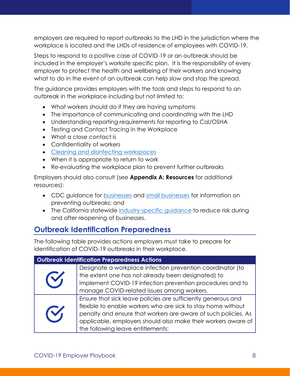employers are required to report outbreaks to the LHD in the jurisdiction where the workplace is located and the LHDs of residence of employees with COVID-19.

Steps to respond to a positive case of COVID-19 or an outbreak should be included in the employer's worksite specific plan. It is the responsibility of every employer to protect the health and wellbeing of their workers and knowing what to do in the event of an outbreak can help slow and stop the spread.

The guidance provides employers with the tools and steps to respond to an outbreak in the workplace including but not limited to:

- What workers should do if they are having symptoms
- The importance of communicating and coordinating with the LHD
- Understanding reporting requirements for reporting to Cal/OSHA
- Testing and Contact Tracing in the Workplace
- What a close contact is
- Confidentiality of workers
- Cleaning and disinfecting workspaces
- When it is appropriate to return to work
- Re-evaluating the workplace plan to prevent further outbreaks

Employers should also consult (see **Appendix A: Resources** for additional resources):

- CDC guidance for businesses and small businesses for information on preventing outbreaks; and
- The California statewide industry-specific guidance to reduce risk during and after reopening of businesses.

#### **Outbreak Identification Preparedness**

The following table provides actions employers must take to prepare for identification of COVID-19 outbreaks in their workplace.

#### **Outbreak Identification Preparedness Actions**

| V        | Designate a workplace infection prevention coordinator (to<br>the extent one has not already been designated) to<br>implement COVID-19 infection prevention procedures and to |
|----------|-------------------------------------------------------------------------------------------------------------------------------------------------------------------------------|
|          |                                                                                                                                                                               |
|          | manage COVID-related issues among workers.                                                                                                                                    |
| <b>K</b> | Ensure that sick leave policies are sufficiently generous and                                                                                                                 |
|          | flexible to enable workers who are sick to stay home without                                                                                                                  |
|          | penalty and ensure that workers are aware of such policies. As                                                                                                                |
|          | applicable, employers should also make their workers aware of                                                                                                                 |
|          | the following leave entitlements:                                                                                                                                             |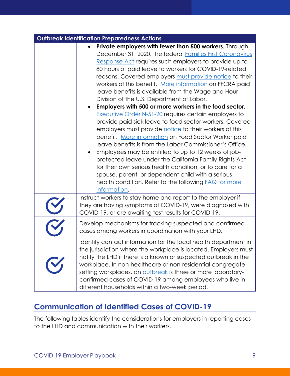| <b>Outbreak Identification Preparedness Actions</b> |                                                                                                                                                                                                                                                                                                                                                                                                                                                                                                                                                                                                                                                                                                                                                                                                                                                                                                                                                                                                                                                                                                                                                                               |  |
|-----------------------------------------------------|-------------------------------------------------------------------------------------------------------------------------------------------------------------------------------------------------------------------------------------------------------------------------------------------------------------------------------------------------------------------------------------------------------------------------------------------------------------------------------------------------------------------------------------------------------------------------------------------------------------------------------------------------------------------------------------------------------------------------------------------------------------------------------------------------------------------------------------------------------------------------------------------------------------------------------------------------------------------------------------------------------------------------------------------------------------------------------------------------------------------------------------------------------------------------------|--|
|                                                     | Private employers with fewer than 500 workers. Through<br>$\bullet$<br>December 31, 2020, the federal Families First Coronavirus<br>Response Act requires such employers to provide up to<br>80 hours of paid leave to workers for COVID-19-related<br>reasons. Covered employers must provide notice to their<br>workers of this benefit. More information on FFCRA paid<br>leave benefits is available from the Wage and Hour<br>Division of the U.S. Department of Labor.<br>Employers with 500 or more workers in the food sector.<br>$\bullet$<br><b>Executive Order N-51-20</b> requires certain employers to<br>provide paid sick leave to food sector workers. Covered<br>employers must provide notice to their workers of this<br>benefit. More information on Food Sector Worker paid<br>leave benefits is from the Labor Commissioner's Office.<br>Employees may be entitled to up to 12 weeks of job-<br>protected leave under the California Family Rights Act<br>for their own serious health condition, or to care for a<br>spouse, parent, or dependent child with a serious<br>health condition. Refer to the following <b>FAQ</b> for more<br>information. |  |
|                                                     | Instruct workers to stay home and report to the employer if<br>they are having symptoms of COVID-19, were diagnosed with<br>COVID-19, or are awaiting test results for COVID-19.                                                                                                                                                                                                                                                                                                                                                                                                                                                                                                                                                                                                                                                                                                                                                                                                                                                                                                                                                                                              |  |
|                                                     | Develop mechanisms for tracking suspected and confirmed<br>cases among workers in coordination with your LHD.                                                                                                                                                                                                                                                                                                                                                                                                                                                                                                                                                                                                                                                                                                                                                                                                                                                                                                                                                                                                                                                                 |  |
|                                                     | Identify contact information for the local health department in<br>the jurisdiction where the workplace is located. Employers must<br>notify the LHD if there is a known or suspected outbreak in the<br>workplace. In non-healthcare or non-residential congregate<br>setting workplaces, an outbreak is three or more laboratory-<br>confirmed cases of COVID-19 among employees who live in<br>different households within a two-week period.                                                                                                                                                                                                                                                                                                                                                                                                                                                                                                                                                                                                                                                                                                                              |  |

#### **Communication of Identified Cases of COVID-19**

The following tables identify the considerations for employers in reporting cases to the LHD and communication with their workers.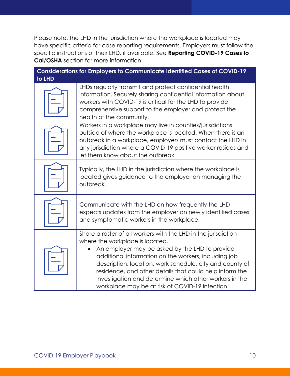Please note, the LHD in the jurisdiction where the workplace is located may have specific criteria for case reporting requirements. Employers must follow the specific instructions of their LHD, if available. See **Reporting COVID-19 Cases to Cal/OSHA** section for more information.

| to LHD | <b>Considerations for Employers to Communicate Identified Cases of COVID-19</b>                                                                                                                                                                                                                                                                                                                                                                 |
|--------|-------------------------------------------------------------------------------------------------------------------------------------------------------------------------------------------------------------------------------------------------------------------------------------------------------------------------------------------------------------------------------------------------------------------------------------------------|
|        | LHDs regularly transmit and protect confidential health<br>information. Securely sharing confidential information about<br>workers with COVID-19 is critical for the LHD to provide<br>comprehensive support to the employer and protect the<br>health of the community.                                                                                                                                                                        |
|        | Workers in a workplace may live in counties/jurisdictions<br>outside of where the workplace is located. When there is an<br>outbreak in a workplace, employers must contact the LHD in<br>any jurisdiction where a COVID-19 positive worker resides and<br>let them know about the outbreak.                                                                                                                                                    |
|        | Typically, the LHD in the jurisdiction where the workplace is<br>located gives guidance to the employer on managing the<br>outbreak.                                                                                                                                                                                                                                                                                                            |
|        | Communicate with the LHD on how frequently the LHD<br>expects updates from the employer on newly identified cases<br>and symptomatic workers in the workplace.                                                                                                                                                                                                                                                                                  |
|        | Share a roster of all workers with the LHD in the jurisdiction<br>where the workplace is located.<br>An employer may be asked by the LHD to provide<br>additional information on the workers, including job<br>description, location, work schedule, city and county of<br>residence, and other details that could help inform the<br>investigation and determine which other workers in the<br>workplace may be at risk of COVID-19 infection. |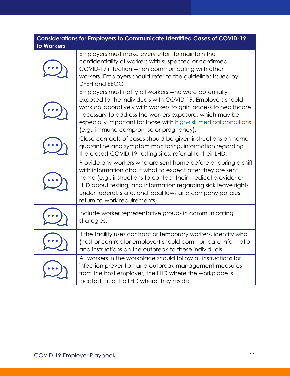| <b>Considerations for Employers to Communicate Identified Cases of COVID-19</b><br>to Workers |                                                                                                                                                                                                                                                                                                                                                                  |  |  |
|-----------------------------------------------------------------------------------------------|------------------------------------------------------------------------------------------------------------------------------------------------------------------------------------------------------------------------------------------------------------------------------------------------------------------------------------------------------------------|--|--|
|                                                                                               | Employers must make every effort to maintain the<br>confidentiality of workers with suspected or confirmed<br>COVID-19 infection when communicating with other<br>workers. Employers should refer to the guidelines issued by<br>DFEH and EEOC.                                                                                                                  |  |  |
|                                                                                               | Employers must notify all workers who were potentially<br>exposed to the individuals with COVID-19. Employers should<br>work collaboratively with workers to gain access to healthcare<br>necessary to address the workers exposure, which may be<br>especially important for those with high-risk medical conditions<br>(e.g., immune compromise or pregnancy). |  |  |
|                                                                                               | Close contacts of cases should be given instructions on home<br>quarantine and symptom monitoring, information regarding<br>the closest COVID-19 testing sites, referral to their LHD.                                                                                                                                                                           |  |  |
|                                                                                               | Provide any workers who are sent home before or during a shift<br>with information about what to expect after they are sent<br>home (e.g., instructions to contact their medical provider or<br>LHD about testing, and information regarding sick leave rights<br>under federal, state, and local laws and company policies,<br>return-to-work requirements).    |  |  |
|                                                                                               | Include worker representative groups in communicating<br>strategies.                                                                                                                                                                                                                                                                                             |  |  |
|                                                                                               | If the facility uses contract or temporary workers, identify who<br>(host or contractor employer) should communicate information<br>and instructions on the outbreak to these individuals.                                                                                                                                                                       |  |  |
|                                                                                               | All workers in the workplace should follow all instructions for<br>infection prevention and outbreak management measures<br>from the host employer, the LHD where the workplace is<br>located, and the LHD where they reside.                                                                                                                                    |  |  |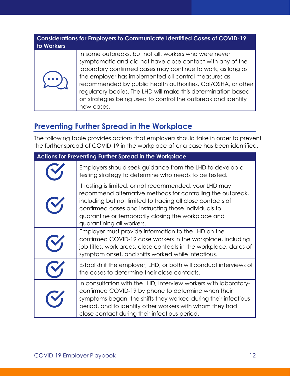#### **Considerations for Employers to Communicate Identified Cases of COVID-19 to Workers**



In some outbreaks, but not all, workers who were never symptomatic and did not have close contact with any of the laboratory confirmed cases may continue to work, as long as the employer has implemented all control measures as recommended by public health authorities, Cal/OSHA, or other regulatory bodies. The LHD will make this determination based on strategies being used to control the outbreak and identify new cases.

#### **Preventing Further Spread in the Workplace**

The following table provides actions that employers should take in order to prevent the further spread of COVID-19 in the workplace after a case has been identified.

| Actions for Preventing Further Spread in the Workplace |                                                                                                                                                                                                                                                                                                                                  |  |
|--------------------------------------------------------|----------------------------------------------------------------------------------------------------------------------------------------------------------------------------------------------------------------------------------------------------------------------------------------------------------------------------------|--|
|                                                        | Employers should seek guidance from the LHD to develop a<br>testing strategy to determine who needs to be tested.                                                                                                                                                                                                                |  |
|                                                        | If testing is limited, or not recommended, your LHD may<br>recommend alternative methods for controlling the outbreak,<br>including but not limited to tracing all close contacts of<br>confirmed cases and instructing those individuals to<br>quarantine or temporarily closing the workplace and<br>quarantining all workers. |  |
|                                                        | Employer must provide information to the LHD on the<br>confirmed COVID-19 case workers in the workplace, including<br>job titles, work areas, close contacts in the workplace, dates of<br>symptom onset, and shifts worked while infectious.                                                                                    |  |
|                                                        | Establish if the employer, LHD, or both will conduct interviews of<br>the cases to determine their close contacts.                                                                                                                                                                                                               |  |
|                                                        | In consultation with the LHD, Interview workers with laboratory-<br>confirmed COVID-19 by phone to determine when their<br>symptoms began, the shifts they worked during their infectious<br>period, and to identify other workers with whom they had<br>close contact during their infectious period.                           |  |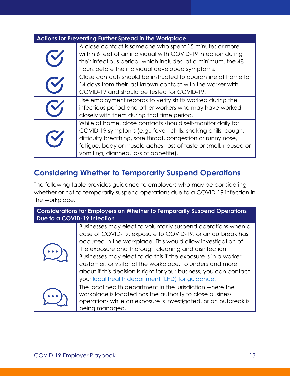|                | <b>Actions for Preventing Further Spread in the Workplace</b>                                                                                                                                                                                                                                               |
|----------------|-------------------------------------------------------------------------------------------------------------------------------------------------------------------------------------------------------------------------------------------------------------------------------------------------------------|
|                | A close contact is someone who spent 15 minutes or more<br>within 6 feet of an individual with COVID-19 infection during<br>their infectious period, which includes, at a minimum, the 48<br>hours before the individual developed symptoms.                                                                |
|                | Close contacts should be instructed to quarantine at home for<br>14 days from their last known contact with the worker with<br>COVID-19 and should be tested for COVID-19.                                                                                                                                  |
|                | Use employment records to verify shifts worked during the<br>infectious period and other workers who may have worked<br>closely with them during that time period.                                                                                                                                          |
| $\mathbf{C}_1$ | While at home, close contacts should self-monitor daily for<br>COVID-19 symptoms (e.g., fever, chills, shaking chills, cough,<br>difficulty breathing, sore throat, congestion or runny nose,<br>fatigue, body or muscle aches, loss of taste or smell, nausea or<br>vomiting, diarrhea, loss of appetite). |

#### **Considering Whether to Temporarily Suspend Operations**

The following table provides guidance to employers who may be considering whether or not to temporarily suspend operations due to a COVID-19 infection in the workplace.

| <b>Considerations for Employers on Whether to Temporarily Suspend Operations</b><br>Due to a COVID-19 Infection |                                                                                                                                                                                                                                                                                                                                                                                                                                                                                                               |  |
|-----------------------------------------------------------------------------------------------------------------|---------------------------------------------------------------------------------------------------------------------------------------------------------------------------------------------------------------------------------------------------------------------------------------------------------------------------------------------------------------------------------------------------------------------------------------------------------------------------------------------------------------|--|
|                                                                                                                 | Businesses may elect to voluntarily suspend operations when a<br>case of COVID-19, exposure to COVID-19, or an outbreak has<br>occurred in the workplace. This would allow investigation of<br>the exposure and thorough cleaning and disinfection.<br>Businesses may elect to do this if the exposure is in a worker,<br>customer, or visitor of the workplace. To understand more<br>about if this decision is right for your business, you can contact<br>your local health department (LHD) for guidance. |  |
|                                                                                                                 | The local health department in the jurisdiction where the<br>workplace is located has the authority to close business<br>operations while an exposure is investigated, or an outbreak is<br>being managed.                                                                                                                                                                                                                                                                                                    |  |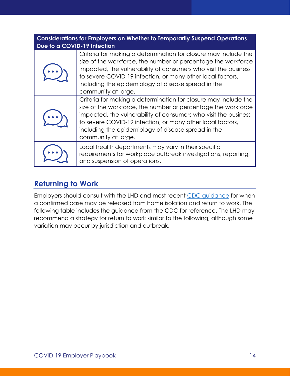| Due to a COVID-19 Infection | <b>Considerations for Employers on Whether to Temporarily Suspend Operations</b>                                                                                                                                                                                                                                                                |
|-----------------------------|-------------------------------------------------------------------------------------------------------------------------------------------------------------------------------------------------------------------------------------------------------------------------------------------------------------------------------------------------|
|                             | Criteria for making a determination for closure may include the<br>size of the workforce, the number or percentage the workforce<br>impacted, the vulnerability of consumers who visit the business<br>to severe COVID-19 infection, or many other local factors,<br>including the epidemiology of disease spread in the<br>community at large. |
|                             | Criteria for making a determination for closure may include the<br>size of the workforce, the number or percentage the workforce<br>impacted, the vulnerability of consumers who visit the business<br>to severe COVID-19 infection, or many other local factors,<br>including the epidemiology of disease spread in the<br>community at large. |
|                             | Local health departments may vary in their specific<br>requirements for workplace outbreak investigations, reporting,<br>and suspension of operations.                                                                                                                                                                                          |

#### **Returning to Work**

Employers should consult with the LHD and most recent CDC guidance for when a confirmed case may be released from home isolation and return to work. The following table includes the guidance from the CDC for reference. The LHD may recommend a strategy for return to work similar to the following, although some variation may occur by jurisdiction and outbreak.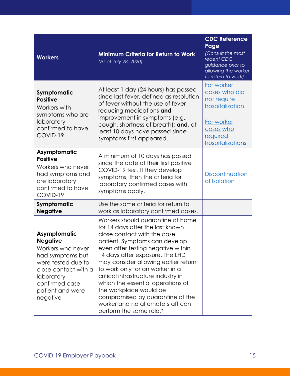| <b>Workers</b>                                                                                                                                                                          | <b>Minimum Criteria for Return to Work</b><br>(As of July 28, 2020)                                                                                                                                                                                                                                                                                                                                                                                                                                 | <b>CDC Reference</b><br>Page<br>(Consult the most<br>recent CDC<br>guidance prior to<br>allowing the worker<br>to return to work) |
|-----------------------------------------------------------------------------------------------------------------------------------------------------------------------------------------|-----------------------------------------------------------------------------------------------------------------------------------------------------------------------------------------------------------------------------------------------------------------------------------------------------------------------------------------------------------------------------------------------------------------------------------------------------------------------------------------------------|-----------------------------------------------------------------------------------------------------------------------------------|
| Symptomatic<br><b>Positive</b><br>Workers with<br>symptoms who are<br>laboratory<br>confirmed to have<br>COVID-19                                                                       | At least 1 day (24 hours) has passed<br>since last fever, defined as resolution<br>of fever without the use of fever-<br>reducing medications and<br>improvement in symptoms (e.g.,<br>cough, shortness of breath); and, at<br>least 10 days have passed since<br>symptoms first appeared.                                                                                                                                                                                                          | For worker<br>cases who did<br>not require<br>hospitalization<br>For worker<br>cases who<br>required<br>hospitalizations          |
| Asymptomatic<br><b>Positive</b><br>Workers who never<br>had symptoms and<br>are laboratory<br>confirmed to have<br>COVID-19                                                             | A minimum of 10 days has passed<br>since the date of their first positive<br>COVID-19 test. If they develop<br>symptoms, then the criteria for<br>laboratory confirmed cases with<br>symptoms apply.                                                                                                                                                                                                                                                                                                | Discontinuation<br>of Isolation                                                                                                   |
| Symptomatic<br><b>Negative</b>                                                                                                                                                          | Use the same criteria for return to<br>work as laboratory confirmed cases.                                                                                                                                                                                                                                                                                                                                                                                                                          |                                                                                                                                   |
| Asymptomatic<br><b>Negative</b><br>Workers who never<br>had symptoms but<br>were tested due to<br>close contact with a<br>laboratory-<br>confirmed case<br>patient and were<br>negative | Workers should quarantine at home<br>for 14 days after the last known<br>close contact with the case<br>patient. Symptoms can develop<br>even after testing negative within<br>14 days after exposure. The LHD<br>may consider allowing earlier return<br>to work only for an worker in a<br>critical infrastructure industry in<br>which the essential operations of<br>the workplace would be<br>compromised by quarantine of the<br>worker and no alternate staff can<br>perform the same role.* |                                                                                                                                   |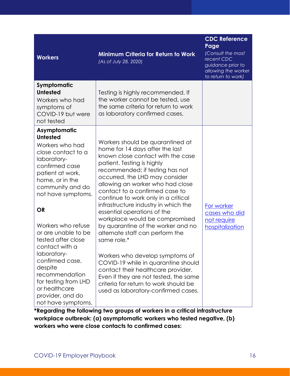| <b>Workers</b>                                                                                                                                                                                                                                                                                                                                                                                                                                 | <b>Minimum Criteria for Return to Work</b><br>(As of July 28, 2020)                                                                                                                                                                                                                                                                                                                                                                                                                                                                                                                                                                                                                                                                                                | <b>CDC Reference</b><br>Page<br>(Consult the most<br>recent CDC<br>guidance prior to<br>allowing the worker<br>to return to work) |
|------------------------------------------------------------------------------------------------------------------------------------------------------------------------------------------------------------------------------------------------------------------------------------------------------------------------------------------------------------------------------------------------------------------------------------------------|--------------------------------------------------------------------------------------------------------------------------------------------------------------------------------------------------------------------------------------------------------------------------------------------------------------------------------------------------------------------------------------------------------------------------------------------------------------------------------------------------------------------------------------------------------------------------------------------------------------------------------------------------------------------------------------------------------------------------------------------------------------------|-----------------------------------------------------------------------------------------------------------------------------------|
| Symptomatic<br><b>Untested</b><br>Workers who had<br>symptoms of<br>COVID-19 but were<br>not tested                                                                                                                                                                                                                                                                                                                                            | Testing is highly recommended. If<br>the worker cannot be tested, use<br>the same criteria for return to work<br>as laboratory confirmed cases.                                                                                                                                                                                                                                                                                                                                                                                                                                                                                                                                                                                                                    |                                                                                                                                   |
| Asymptomatic<br><b>Untested</b><br>Workers who had<br>close contact to a<br>laboratory-<br>confirmed case<br>patient at work,<br>home, or in the<br>community and do<br>not have symptoms.<br><b>OR</b><br>Workers who refuse<br>or are unable to be<br>tested after close<br>contact with a<br>laboratory-<br>confirmed case,<br>despite<br>recommendation<br>for testing from LHD<br>or healthcare<br>provider, and do<br>not have symptoms. | Workers should be quarantined at<br>home for 14 days after the last<br>known close contact with the case<br>patient. Testing is highly<br>recommended; if testing has not<br>occurred, the LHD may consider<br>allowing an worker who had close<br>contact to a confirmed case to<br>continue to work only in a critical<br>infrastructure industry in which the<br>essential operations of the<br>workplace would be compromised<br>by quarantine of the worker and no<br>alternate staff can perform the<br>same role.*<br>Workers who develop symptoms of<br>COVID-19 while in quarantine should<br>contact their healthcare provider.<br>Even if they are not tested, the same<br>criteria for return to work should be<br>used as laboratory-confirmed cases. | For worker<br>cases who did<br>not require<br>hospitalization                                                                     |

**\*Regarding the following two groups of workers in a critical infrastructure workplace outbreak: (a) asymptomatic workers who tested negative, (b) workers who were close contacts to confirmed cases:**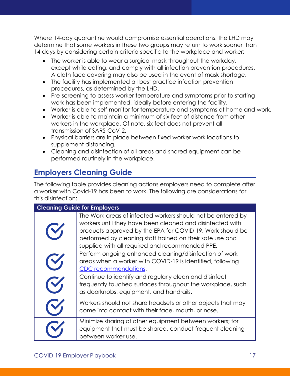Where 14-day quarantine would compromise essential operations, the LHD may determine that some workers in these two groups may return to work sooner than 14 days by considering certain criteria specific to the workplace and worker:

- The worker is able to wear a surgical mask throughout the workday, except while eating, and comply with all infection prevention procedures. A cloth face covering may also be used in the event of mask shortage.
- The facility has implemented all best practice infection prevention procedures, as determined by the LHD.
- Pre-screening to assess worker temperature and symptoms prior to starting work has been implemented, ideally before entering the facility.
- Worker is able to self-monitor for temperature and symptoms at home and work.
- Worker is able to maintain a minimum of six feet of distance from other workers in the workplace. Of note, six feet does not prevent all transmission of SARS-CoV-2.
- Physical barriers are in place between fixed worker work locations to supplement distancing.
- Cleaning and disinfection of all areas and shared equipment can be performed routinely in the workplace.

### **Employers Cleaning Guide**

The following table provides cleaning actions employers need to complete after a worker with Covid-19 has been to work. The following are considerations for this disinfection:

| <b>Cleaning Guide for Employers</b> |                                                                                                                                                                                                                                                                                                       |  |
|-------------------------------------|-------------------------------------------------------------------------------------------------------------------------------------------------------------------------------------------------------------------------------------------------------------------------------------------------------|--|
|                                     | The Work areas of infected workers should not be entered by<br>workers until they have been cleaned and disinfected with<br>products approved by the EPA for COVID-19. Work should be<br>performed by cleaning staff trained on their safe use and<br>supplied with all required and recommended PPE. |  |
|                                     | Perform ongoing enhanced cleaning/disinfection of work<br>areas when a worker with COVID-19 is identified, following<br>CDC recommendations.                                                                                                                                                          |  |
|                                     | Continue to identify and regularly clean and disinfect<br>frequently touched surfaces throughout the workplace, such<br>as doorknobs, equipment, and handrails.                                                                                                                                       |  |
|                                     | Workers should not share headsets or other objects that may<br>come into contact with their face, mouth, or nose.                                                                                                                                                                                     |  |
|                                     | Minimize sharing of other equipment between workers; for<br>equipment that must be shared, conduct frequent cleaning<br>between worker use.                                                                                                                                                           |  |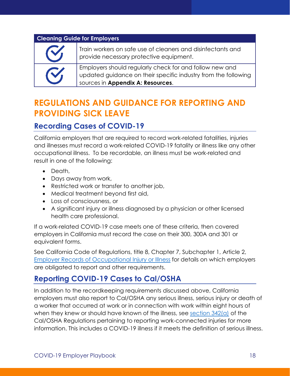#### **Cleaning Guide for Employers**

| <b>CI</b> | Train workers on safe use of cleaners and disinfectants and<br>provide necessary protective equipment.                                                         |
|-----------|----------------------------------------------------------------------------------------------------------------------------------------------------------------|
| <b>CI</b> | Employers should regularly check for and follow new and<br>updated guidance on their specific industry from the following<br>sources in Appendix A: Resources. |

### **REGULATIONS AND GUIDANCE FOR REPORTING AND PROVIDING SICK LEAVE**

#### **Recording Cases of COVID-19**

California employers that are required to record work-related fatalities, injuries and illnesses must record a work-related COVID-19 fatality or illness like any other occupational illness. To be recordable, an illness must be work-related and result in one of the following:

- Death,
- Days away from work,
- Restricted work or transfer to another job,
- Medical treatment beyond first aid,
- Loss of consciousness, or
- A significant injury or illness diagnosed by a physician or other licensed health care professional.

If a work-related COVID-19 case meets one of these criteria, then covered employers in California must record the case on their 300, 300A and 301 or equivalent forms.

See California Code of Regulations, title 8, Chapter 7, Subchapter 1, Article 2, Employer Records of Occupational Injury or Illness for details on which employers are obligated to report and other requirements.

#### **Reporting COVID-19 Cases to Cal/OSHA**

In addition to the recordkeeping requirements discussed above, California employers must also report to Cal/OSHA any serious illness, serious injury or death of a worker that occurred at work or in connection with work within eight hours of when they knew or should have known of the illness, see section 342(a) of the Cal/OSHA Regulations pertaining to reporting work-connected injuries for more information. This includes a COVID-19 illness if it meets the definition of serious illness.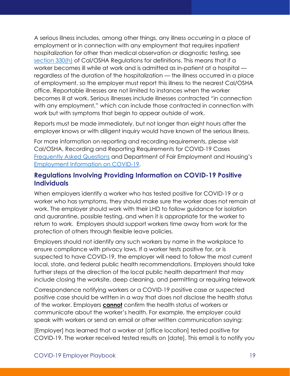A serious illness includes, among other things, any illness occurring in a place of employment or in connection with any employment that requires inpatient hospitalization for other than medical observation or diagnostic testing, see section 330(h) of Cal/OSHA Regulations for definitions. This means that if a worker becomes ill while at work and is admitted as in-patient at a hospital regardless of the duration of the hospitalization — the illness occurred in a place of employment, so the employer must report this illness to the nearest Cal/OSHA office. Reportable illnesses are not limited to instances when the worker becomes ill at work. Serious illnesses include illnesses contracted "in connection with any employment," which can include those contracted in connection with work but with symptoms that begin to appear outside of work.

Reports must be made immediately, but not longer than eight hours after the employer knows or with diligent inquiry would have known of the serious illness.

For more information on reporting and recording requirements, please visit Cal/OSHA, Recording and Reporting Requirements for COVID-19 Cases Frequently Asked Questions and Department of Fair Employment and Housing's Employment Information on COVID-19.

#### **Regulations Involving Providing Information on COVID-19 Positive Individuals**

When employers identify a worker who has tested positive for COVID-19 or a worker who has symptoms, they should make sure the worker does not remain at work. The employer should work with their LHD to follow guidance for isolation and quarantine, possible testing, and when it is appropriate for the worker to return to work. Employers should support workers time away from work for the protection of others through flexible leave policies.

Employers should not identify any such workers by name in the workplace to ensure compliance with privacy laws. If a worker tests positive for, or is suspected to have COVID-19, the employer will need to follow the most current local, state, and federal public health recommendations. Employers should take further steps at the direction of the local public health department that may include closing the worksite, deep cleaning, and permitting or requiring telework

Correspondence notifying workers or a COVID-19 positive case or suspected positive case should be written in a way that does not disclose the health status of the worker. Employers **cannot** confirm the health status of workers or communicate about the worker's health. For example, the employer could speak with workers or send an email or other written communication saying:

[Employer] has learned that a worker at [office location] tested positive for COVID-19. The worker received tested results on [date]. This email is to notify you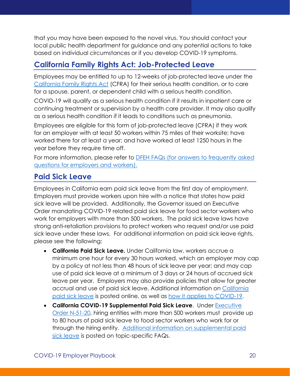that you may have been exposed to the novel virus. You should contact your local public health department for guidance and any potential actions to take based on individual circumstances or if you develop COVID-19 symptoms.

#### **California Family Rights Act: Job-Protected Leave**

Employees may be entitled to up to 12-weeks of job-protected leave under the California Family Rights Act (CFRA) for their serious health condition, or to care for a spouse, parent, or dependent child with a serious health condition.

COVID-19 will qualify as a serious health condition if it results in inpatient care or continuing treatment or supervision by a health care provider. It may also qualify as a serious health condition if it leads to conditions such as pneumonia.

Employees are eligible for this form of job-protected leave (CFRA) if they work for an employer with at least 50 workers within 75 miles of their worksite; have worked there for at least a year; and have worked at least 1250 hours in the year before they require time off.

For more information, please refer to **DFEH FAQs** (for answers to frequently asked questions for employers and workers).

#### **Paid Sick Leave**

Employees in California earn paid sick leave from the first day of employment. Employers must provide workers upon hire with a notice that states how paid sick leave will be provided. Additionally, the Governor issued an Executive Order mandating COVID-19 related paid sick leave for food sector workers who work for employers with more than 500 workers. The paid sick leave laws have strong anti-retaliation provisions to protect workers who request and/or use paid sick leave under these laws. For additional information on paid sick leave rights, please see the following:

- **California Paid Sick Leave.** Under California law, workers accrue a minimum one hour for every 30 hours worked, which an employer may cap by a policy at not less than 48 hours of sick leave per year; and may cap use of paid sick leave at a minimum of 3 days or 24 hours of accrued sick leave per year. Employers may also provide policies that allow for greater accrual and use of paid sick leave. Additional information on California paid sick leave is posted online, as well as how it applies to COVID-19.
- **California COVID-19 Supplemental Paid Sick Leave**. Under Executive Order N-51-20, hiring entities with more than 500 workers must provide up to 80 hours of paid sick leave to food sector workers who work for or through the hiring entity. Additional information on supplemental paid sick leave is posted on topic-specific FAQs.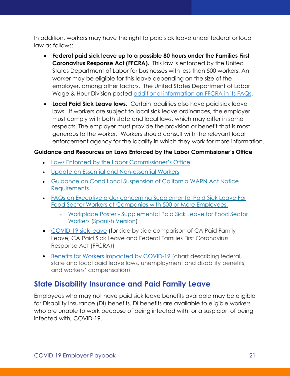In addition, workers may have the right to paid sick leave under federal or local law as follows:

- **Federal paid sick leave up to a possible 80 hours under the Families First Coronavirus Response Act (FFCRA).** This law is enforced by the United States Department of Labor for businesses with less than 500 workers. An worker may be eligible for this leave depending on the size of the employer, among other factors. The United States Department of Labor Wage & Hour Division posted additional information on FFCRA in its FAQs.
- **Local Paid Sick Leave laws**. Certain localities also have paid sick leave laws. If workers are subject to local sick leave ordinances, the employer must comply with both state and local laws, which may differ in some respects. The employer must provide the provision or benefit that is most generous to the worker. Workers should consult with the relevant local enforcement agency for the locality in which they work for more information.

#### **Guidance and Resources on Laws Enforced by the Labor Commissioner's Office**

- Laws Enforced by the Labor Commissioner's Office
- Update on Essential and Non-essential Workers
- Guidance on Conditional Suspension of California WARN Act Notice **Requirements**
- FAQs on Executive order concerning Supplemental Paid Sick Leave For Food Sector Workers at Companies with 500 or More Employees.
	- o Workplace Poster Supplemental Paid Sick Leave for Food Sector Workers (Spanish Version)
- COVID-19 sick leave (for side by side comparison of CA Paid Family Leave, CA Paid Sick Leave and Federal Families First Coronavirus Response Act (FFCRA))
- Benefits for Workers Impacted by COVID-19 (chart describing federal, state and local paid leave laws, unemployment and disability benefits, and workers' compensation)

#### **State Disability Insurance and Paid Family Leave**

Employees who may not have paid sick leave benefits available may be eligible for Disability Insurance (DI) benefits. DI benefits are available to eligible workers who are unable to work because of being infected with, or a suspicion of being infected with, COVID-19.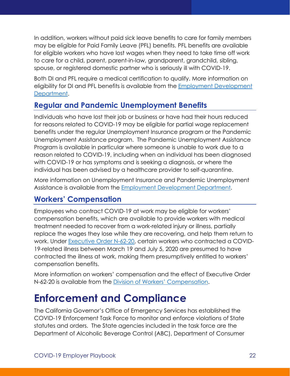In addition, workers without paid sick leave benefits to care for family members may be eligible for Paid Family Leave (PFL) benefits. PFL benefits are available for eligible workers who have lost wages when they need to take time off work to care for a child, parent, parent-in-law, grandparent, grandchild, sibling, spouse, or registered domestic partner who is seriously ill with COVID-19.

Both DI and PFL require a medical certification to qualify. More information on eligibility for DI and PFL benefits is available from the Employment Development Department.

#### **Regular and Pandemic Unemployment Benefits**

Individuals who have lost their job or business or have had their hours reduced for reasons related to COVID-19 may be eligible for partial wage replacement benefits under the regular Unemployment Insurance program or the Pandemic Unemployment Assistance program. The Pandemic Unemployment Assistance Program is available in particular where someone is unable to work due to a reason related to COVID-19, including when an individual has been diagnosed with COVID-19 or has symptoms and is seeking a diagnosis, or where the individual has been advised by a healthcare provider to self-quarantine.

More information on Unemployment Insurance and Pandemic Unemployment Assistance is available from the Employment Development Department.

#### **Workers' Compensation**

Employees who contract COVID-19 at work may be eligible for workers' compensation benefits, which are available to provide workers with medical treatment needed to recover from a work-related injury or illness, partially replace the wages they lose while they are recovering, and help them return to work. Under Executive Order N-62-20, certain workers who contracted a COVID-19-related illness between March 19 and July 5, 2020 are presumed to have contracted the illness at work, making them presumptively entitled to workers' compensation benefits.

More information on workers' compensation and the effect of Executive Order N-62-20 is available from the Division of Workers' Compensation.

# **Enforcement and Compliance**

The California Governor's Office of Emergency Services has established the COVID-19 Enforcement Task Force to monitor and enforce violations of State statutes and orders. The State agencies included in the task force are the Department of Alcoholic Beverage Control (ABC), Department of Consumer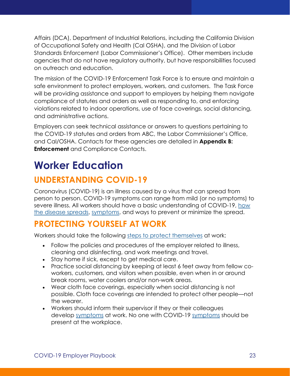Affairs (DCA), Department of Industrial Relations, including the California Division of Occupational Safety and Health (Cal OSHA), and the Division of Labor Standards Enforcement (Labor Commissioner's Office). Other members include agencies that do not have regulatory authority, but have responsibilities focused on outreach and education.

The mission of the COVID-19 Enforcement Task Force is to ensure and maintain a safe environment to protect employers, workers, and customers. The Task Force will be providing assistance and support to employers by helping them navigate compliance of statutes and orders as well as responding to, and enforcing violations related to indoor operations, use of face coverings, social distancing, and administrative actions.

Employers can seek technical assistance or answers to questions pertaining to the COVID-19 statutes and orders from ABC, the Labor Commissioner's Office, and Cal/OSHA. Contacts for these agencies are detailed in **Appendix B: Enforcement** and Compliance Contacts.

# **Worker Education**

### **UNDERSTANDING COVID-19**

Coronavirus (COVID-19) is an illness caused by a virus that can spread from person to person. COVID-19 symptoms can range from mild (or no symptoms) to severe illness. All workers should have a basic understanding of COVID-19, how the disease spreads, symptoms, and ways to prevent or minimize the spread.

### **PROTECTING YOURSELF AT WORK**

Workers should take the following steps to protect themselves at work:

- Follow the policies and procedures of the employer related to illness, cleaning and disinfecting, and work meetings and travel.
- Stay home if sick, except to get medical care.
- Practice social distancing by keeping at least 6 feet away from fellow coworkers, customers, and visitors when possible, even when in or around break rooms, water coolers and/or non-work areas.
- Wear cloth face coverings, especially when social distancing is not possible. Cloth face coverings are intended to protect other people—not the wearer.
- Workers should inform their supervisor if they or their colleagues develop symptoms at work. No one with COVID-19 symptoms should be present at the workplace.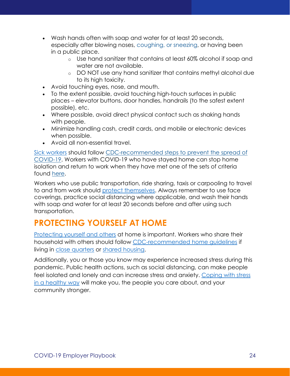- Wash hands often with soap and water for at least 20 seconds, especially after blowing noses, coughing, or sneezing, or having been in a public place.
	- o Use hand sanitizer that contains at least 60% alcohol if soap and water are not available.
	- o DO NOT use any hand sanitizer that contains methyl alcohol due to its high toxicity.
- Avoid touching eyes, nose, and mouth.
- To the extent possible, avoid touching high-touch surfaces in public places – elevator buttons, door handles, handrails (to the safest extent possible), etc.
- Where possible, avoid direct physical contact such as shaking hands with people.
- Minimize handling cash, credit cards, and mobile or electronic devices when possible.
- Avoid all non-essential travel.

Sick workers should follow CDC-recommended steps to prevent the spread of COVID-19. Workers with COVID-19 who have stayed home can stop home isolation and return to work when they have met one of the sets of criteria found here.

Workers who use public transportation, ride sharing, taxis or carpooling to travel to and from work should protect themselves. Always remember to use face coverings, practice social distancing where applicable, and wash their hands with soap and water for at least 20 seconds before and after using such transportation.

### **PROTECTING YOURSELF AT HOME**

Protecting yourself and others at home is important. Workers who share their household with others should follow CDC-recommended home guidelines if living in close quarters or shared housing.

Additionally, you or those you know may experience increased stress during this pandemic. Public health actions, such as social distancing, can make people feel isolated and lonely and can increase stress and anxiety. Coping with stress in a healthy way will make you, the people you care about, and your community stronger.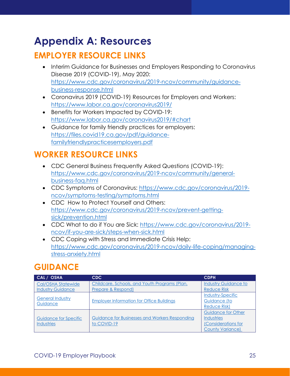# **Appendix A: Resources**

### **EMPLOYER RESOURCE LINKS**

- Interim Guidance for Businesses and Employers Responding to Coronavirus Disease 2019 (COVID-19), May 2020: https://www.cdc.gov/coronavirus/2019-ncov/community/guidancebusiness-response.html
- Coronavirus 2019 (COVID-19) Resources for Employers and Workers: https://www.labor.ca.gov/coronavirus2019/
- Benefits for Workers Impacted by COVID-19: https://www.labor.ca.gov/coronavirus2019/#chart
- Guidance for family friendly practices for employers: https://files.covid19.ca.gov/pdf/guidancefamilyfriendlypracticesemployers.pdf

### **WORKER RESOURCE LINKS**

- CDC General Business Frequently Asked Questions (COVID-19): https://www.cdc.gov/coronavirus/2019-ncov/community/generalbusiness-faq.html
- CDC Symptoms of Coronavirus: https://www.cdc.gov/coronavirus/2019 ncov/symptoms-testing/symptoms.html
- CDC How to Protect Yourself and Others: https://www.cdc.gov/coronavirus/2019-ncov/prevent-gettingsick/prevention.html
- CDC What to do if You are Sick: https://www.cdc.gov/coronavirus/2019 ncov/if-you-are-sick/steps-when-sick.html
- CDC Coping with Stress and Immediate Crisis Help: https://www.cdc.gov/coronavirus/2019-ncov/daily-life-coping/managingstress-anxiety.html

### **GUIDANCE**

| CAL / OSHA                          | CDC.                                             | <b>CDPH</b>                 |
|-------------------------------------|--------------------------------------------------|-----------------------------|
| Cal/OSHA Statewide                  | Childcare, Schools, and Youth Programs (Plan,    | <b>Industry Guidance to</b> |
| <b>Industry Guidance</b>            | <b>Prepare &amp; Respond)</b>                    | <b>Reduce Risk</b>          |
|                                     |                                                  | <b>Industry-Specific</b>    |
| <b>General Industry</b><br>Guidance | <b>Employer Information for Office Buildings</b> | Guidance (to                |
|                                     |                                                  | <b>Reduce Risk)</b>         |
|                                     |                                                  | <b>Guidance for Other</b>   |
| Guidance for Specific               | Guidance for Businesses and Workers Responding   | <b>Industries</b>           |
| <b>Industries</b>                   | to COVID-19                                      | Considerations for          |
|                                     |                                                  | <b>County Variance)</b>     |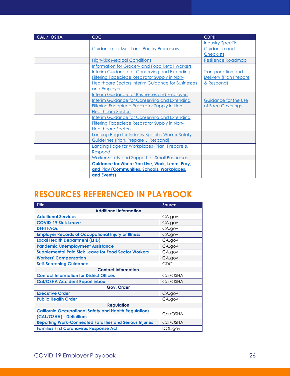| CAL / OSHA | <b>CDC</b>                                             | <b>CDPH</b>               |
|------------|--------------------------------------------------------|---------------------------|
|            |                                                        | <b>Industry-Specific</b>  |
|            | <b>Guidance for Meat and Poultry Processors</b>        | Guidance and              |
|            |                                                        | <b>Checklists</b>         |
|            | <b>High-Risk Medical Conditions</b>                    | <b>Resilience Roadmap</b> |
|            | <b>Information for Grocery and Food Retail Workers</b> |                           |
|            | <b>Interim Guidance for Conserving and Extending</b>   | <b>Transportation and</b> |
|            | <b>Filtering Facepiece Respirator Supply in Non-</b>   | Delivery (Plan Prepare    |
|            | Healthcare Sectors Interim Guidance for Businesses     | & Respond)                |
|            | and Employers                                          |                           |
|            | <b>Interim Guidance for Businesses and Employers</b>   |                           |
|            | Interim Guidance for Conserving and Extending          | Guidance for the Use      |
|            | <b>Filtering Facepiece Respirator Supply in Non-</b>   | of Face Coverings         |
|            | <b>Healthcare Sectors</b>                              |                           |
|            | <b>Interim Guidance for Conserving and Extending</b>   |                           |
|            | <b>Filtering Facepiece Respirator Supply in Non-</b>   |                           |
|            | <b>Healthcare Sectors</b>                              |                           |
|            | Landing Page for Industry Specific Worker Safety       |                           |
|            | Guidelines (Plan, Prepare & Respond)                   |                           |
|            | Landing Page for Workplaces (Plan, Prepare &           |                           |
|            | Respond)                                               |                           |
|            | <b>Worker Safety and Support for Small Businesses</b>  |                           |
|            | <b>Guidance for Where You Live, Work, Learn, Pray,</b> |                           |
|            | and Play (Communities, Schools, Workplaces,            |                           |
|            | and Events)                                            |                           |

### **RESOURCES REFERENCED IN PLAYBOOK**

| <b>Title</b>                                                    | <b>Source</b> |  |
|-----------------------------------------------------------------|---------------|--|
| <b>Additional Information</b>                                   |               |  |
| <b>Additional Services</b>                                      | CA.gov        |  |
| <b>COVID-19 Sick Leave</b>                                      | CA.gov        |  |
| <b>DFHI FAQS</b>                                                | CA.gov        |  |
| <b>Employer Records of Occupational Injury or Illness</b>       | CA.gov        |  |
| <b>Local Health Department (LHD)</b>                            | CA.gov        |  |
| <b>Pandemic Unemployment Assistance</b>                         | CA.gov        |  |
| <b>Supplemental Paid Sick Leave for Food Sector Workers</b>     | CA.gov        |  |
| <b>Workers' Compensation</b>                                    | CA.gov        |  |
| <b>Self-Screening Guidance</b>                                  | CDC           |  |
| <b>Contact Information</b>                                      |               |  |
| <b>Contact Information for District Offices</b>                 | Cal/OSHA      |  |
| <b>Cal/OSHA Accident Report inbox</b>                           | Cal/OSHA      |  |
| Gov. Order                                                      |               |  |
| <b>Executive Order</b>                                          | CA.gov        |  |
| <b>Public Health Order</b>                                      | CA.gov        |  |
| <b>Regulation</b>                                               |               |  |
| <b>California Occupational Safety and Health Regulations</b>    | Cal/OSHA      |  |
| (CAL/OSHA) - Definitions                                        |               |  |
| <b>Reporting Work-Connected Fatalities and Serious Injuries</b> | Cal/OSHA      |  |
| <b>Families First Coronavirus Response Act</b>                  | DOL.gov       |  |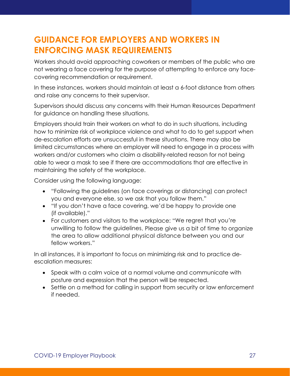### **GUIDANCE FOR EMPLOYERS AND WORKERS IN ENFORCING MASK REQUIREMENTS**

Workers should avoid approaching coworkers or members of the public who are not wearing a face covering for the purpose of attempting to enforce any facecovering recommendation or requirement.

In these instances, workers should maintain at least a 6-foot distance from others and raise any concerns to their supervisor.

Supervisors should discuss any concerns with their Human Resources Department for guidance on handling these situations.

Employers should train their workers on what to do in such situations, including how to minimize risk of workplace violence and what to do to get support when de-escalation efforts are unsuccessful in these situations. There may also be limited circumstances where an employer will need to engage in a process with workers and/or customers who claim a disability-related reason for not being able to wear a mask to see if there are accommodations that are effective in maintaining the safety of the workplace.

Consider using the following language:

- "Following the guidelines (on face coverings or distancing) can protect you and everyone else, so we ask that you follow them."
- "If you don't have a face covering, we'd be happy to provide one (if available)."
- For customers and visitors to the workplace: "We regret that you're unwilling to follow the guidelines. Please give us a bit of time to organize the area to allow additional physical distance between you and our fellow workers."

In all instances, it is important to focus on minimizing risk and to practice deescalation measures:

- Speak with a calm voice at a normal volume and communicate with posture and expression that the person will be respected.
- Settle on a method for calling in support from security or law enforcement if needed.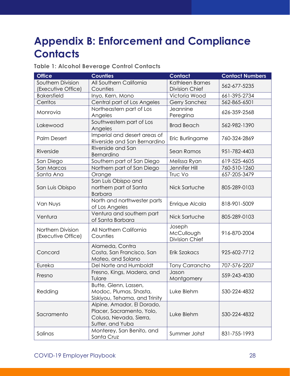# **Appendix B: Enforcement and Compliance Contacts**

#### **Table 1: Alcohol Beverage Control Contacts**

| <b>Office</b>                           | <b>Counties</b>                                                                                        | <b>Contact</b>                                | <b>Contact Numbers</b> |
|-----------------------------------------|--------------------------------------------------------------------------------------------------------|-----------------------------------------------|------------------------|
| Southern Division<br>(Executive Office) | All Southern California<br>Counties                                                                    | Kathleen Barnes<br><b>Division Chief</b>      | 562-677-5235           |
| <b>Bakersfield</b>                      | Inyo, Kern, Mono                                                                                       | Victoria Wood                                 | 661-395-2734           |
| Cerritos                                | Central part of Los Angeles                                                                            | Gerry Sanchez                                 | 562-865-6501           |
| Monrovia                                | Northeastern part of Los<br>Angeles                                                                    | Jeannine<br>Peregrina                         | 626-359-2568           |
| Lakewood                                | Southwestern part of Los<br>Angeles                                                                    | <b>Brad Beach</b>                             | 562-982-1390           |
| <b>Palm Desert</b>                      | Imperial and desert areas of<br>Riverside and San Bernardino                                           | Eric Burlingame                               | 760-324-2869           |
| Riverside                               | Riverside and San<br>Bernardino                                                                        | Sean Ramos                                    | 951-782-4403           |
| San Diego                               | Southern part of San Diego                                                                             | Melissa Ryan                                  | 619-525-4605           |
| San Marcos                              | Northern part of San Diego                                                                             | Jennifer Hill                                 | 760-510-1260           |
| Santa Ana                               | Orange                                                                                                 | Truc Vo                                       | 657-205-3479           |
| San Luis Obispo                         | San Luis Obispo and<br>northern part of Santa<br><b>Barbara</b>                                        | Nick Sartuche                                 | 805-289-0103           |
| Van Nuys                                | North and northwester parts<br>of Los Angeles                                                          | Enrique Alcala                                | 818-901-5009           |
| Ventura                                 | Ventura and southern part<br>of Santa Barbara                                                          | Nick Sartuche                                 | 805-289-0103           |
| Northern Division<br>(Executive Office) | All Northern California<br>Counties                                                                    | Joseph<br>McCullough<br><b>Division Chief</b> | 916-870-2004           |
| Concord                                 | Alameda, Contra<br>Costa, San Francisco, San<br>Mateo, and Solano                                      |                                               | 925-602-7712           |
| Eureka                                  | Del Norte and Humboldt                                                                                 | <b>Tony Carrancho</b>                         | 707-576-2207           |
| Fresno                                  | Fresno, Kings, Madera, and<br>Tulare                                                                   | Jason<br>Montgomery                           | 559-243-4030           |
| Redding                                 | Butte, Glenn, Lassen,<br>Modoc, Plumas, Shasta,<br>Siskiyou, Tehama, and Trinity                       | Luke Blehm                                    | 530-224-4832           |
| Sacramento                              | Alpine, Amador, El Dorado,<br>Placer, Sacramento, Yolo,<br>Colusa, Nevada, Sierra,<br>Sutter, and Yuba | Luke Blehm                                    | 530-224-4832           |
| Salinas                                 | Monterey, San Benito, and<br>Santa Cruz                                                                | Summer Johst                                  | 831-755-1993           |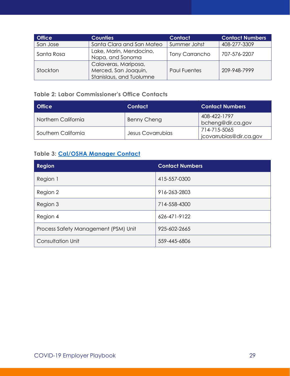| <b>Office</b> | <b>Counties</b>                                                          | <b>Contact</b>        | <b>Contact Numbers</b> |
|---------------|--------------------------------------------------------------------------|-----------------------|------------------------|
| San Jose      | Santa Clara and San Mateo                                                | Summer Johst          | 408-277-3309           |
| Santa Rosa    | Lake, Marin, Mendocino,<br>Napa, and Sonoma                              | <b>Tony Carrancho</b> | 707-576-2207           |
| Stockton      | Calaveras, Mariposa,<br>Merced, San Joaquin,<br>Stanislaus, and Tuolumne | <b>Paul Fuentes</b>   | 209-948-7999           |

#### **Table 2: Labor Commissioner's Office Contacts**

| <b>Office</b>       | Contact           | <b>Contact Numbers</b>                  |
|---------------------|-------------------|-----------------------------------------|
| Northern California | Benny Cheng       | 408-422-1797<br>bcheng@dir.ca.gov       |
| Southern California | Jesus Covarrubias | 714-715-5065<br>jcovarrubias@dir.ca.gov |

#### **Table 3: Cal/OSHA Manager Contact**

| <b>Region</b>                        | <b>Contact Numbers</b> |
|--------------------------------------|------------------------|
| Region 1                             | 415-557-0300           |
| Region 2                             | 916-263-2803           |
| Region 3                             | 714-558-4300           |
| Region 4                             | 626-471-9122           |
| Process Safety Management (PSM) Unit | 925-602-2665           |
| Consultation Unit                    | 559-445-6806           |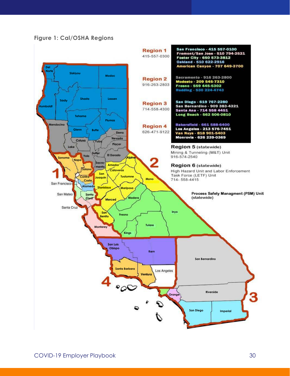#### **Figure 1: Cal/OSHA Regions**

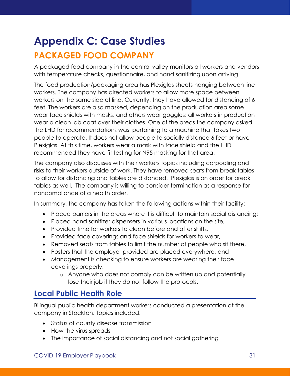### **Appendix C: Case Studies PACKAGED FOOD COMPANY**

A packaged food company in the central valley monitors all workers and vendors with temperature checks, questionnaire, and hand sanitizing upon arriving.

The food production/packaging area has Plexiglas sheets hanging between line workers. The company has directed workers to allow more space between workers on the same side of line. Currently, they have allowed for distancing of 6 feet. The workers are also masked, depending on the production area some wear face shields with masks, and others wear goggles; all workers in production wear a clean lab coat over their clothes. One of the areas the company asked the LHD for recommendations was pertaining to a machine that takes two people to operate. It does not allow people to socially distance 6 feet or have Plexiglas. At this time, workers wear a mask with face shield and the LHD recommended they have fit testing for N95 masking for that area.

The company also discusses with their workers topics including carpooling and risks to their workers outside of work. They have removed seats from break tables to allow for distancing and tables are distanced. Plexiglas is on order for break tables as well. The company is willing to consider termination as a response for noncompliance of a health order.

In summary, the company has taken the following actions within their facility:

- Placed barriers in the areas where it is difficult to maintain social distancing;
- Placed hand sanitizer dispensers in various locations on the site,
- Provided time for workers to clean before and after shifts,
- Provided face coverings and face shields for workers to wear,
- Removed seats from tables to limit the number of people who sit there,
- Posters that the employer provided are placed everywhere, and
- Management is checking to ensure workers are wearing their face coverings properly;
	- o Anyone who does not comply can be written up and potentially lose their job if they do not follow the protocols.

#### **Local Public Health Role**

Bilingual public health department workers conducted a presentation at the company in Stockton. Topics included:

- Status of county disease transmission
- How the virus spreads
- The importance of social distancing and not social gathering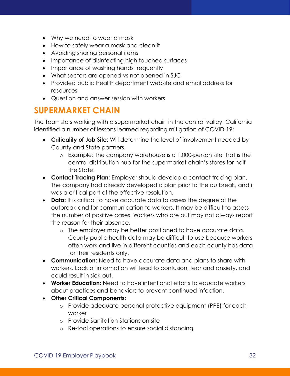- Why we need to wear a mask
- How to safely wear a mask and clean it
- Avoiding sharing personal items
- Importance of disinfecting high touched surfaces
- Importance of washing hands frequently
- What sectors are opened vs not opened in SJC
- Provided public health department website and email address for resources
- Question and answer session with workers

#### **SUPERMARKET CHAIN**

The Teamsters working with a supermarket chain in the central valley, California identified a number of lessons learned regarding mitigation of COVID-19:

- **Criticality of Job Site:** Will determine the level of involvement needed by County and State partners.
	- o Example: The company warehouse is a 1,000-person site that is the central distribution hub for the supermarket chain's stores for half the State.
- **Contact Tracing Plan:** Employer should develop a contact tracing plan. The company had already developed a plan prior to the outbreak, and it was a critical part of the effective resolution.
- **Data:** It is critical to have accurate data to assess the degree of the outbreak and for communication to workers. It may be difficult to assess the number of positive cases. Workers who are out may not always report the reason for their absence.
	- o The employer may be better positioned to have accurate data. County public health data may be difficult to use because workers often work and live in different counties and each county has data for their residents only.
- **Communication:** Need to have accurate data and plans to share with workers. Lack of information will lead to confusion, fear and anxiety, and could result in sick-out.
- **Worker Education:** Need to have intentional efforts to educate workers about practices and behaviors to prevent continued infection.
- **Other Critical Components:** 
	- o Provide adequate personal protective equipment (PPE) for each worker
	- o Provide Sanitation Stations on site
	- o Re-tool operations to ensure social distancing